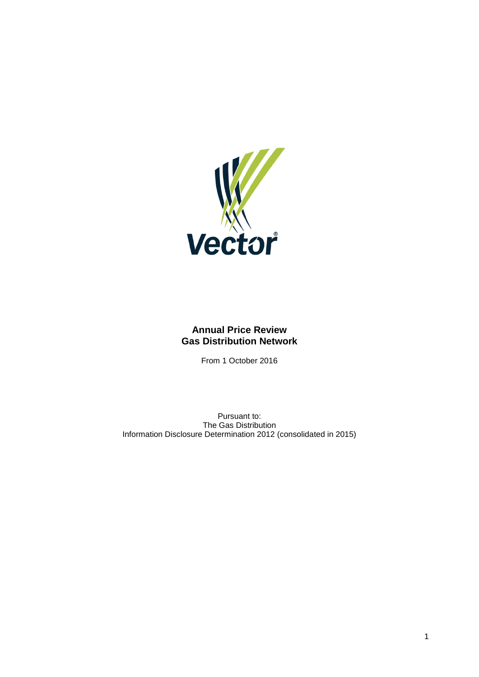

# **Annual Price Review Gas Distribution Network**

From 1 October 2016

Pursuant to: The Gas Distribution Information Disclosure Determination 2012 (consolidated in 2015)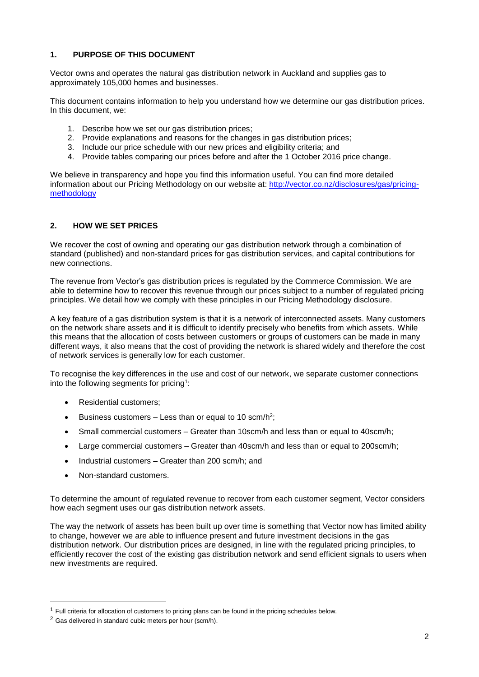## **1. PURPOSE OF THIS DOCUMENT**

Vector owns and operates the natural gas distribution network in Auckland and supplies gas to approximately 105,000 homes and businesses.

This document contains information to help you understand how we determine our gas distribution prices. In this document, we:

- 1. Describe how we set our gas distribution prices;
- 2. Provide explanations and reasons for the changes in gas distribution prices;
- 3. Include our price schedule with our new prices and eligibility criteria; and
- 4. Provide tables comparing our prices before and after the 1 October 2016 price change.

We believe in transparency and hope you find this information useful. You can find more detailed information about our Pricing Methodology on our website at: [http://vector.co.nz/disclosures/gas/pricing](http://vector.co.nz/disclosures/gas/pricing-methodology)[methodology](http://vector.co.nz/disclosures/gas/pricing-methodology)

## **2. HOW WE SET PRICES**

We recover the cost of owning and operating our gas distribution network through a combination of standard (published) and non-standard prices for gas distribution services, and capital contributions for new connections.

The revenue from Vector's gas distribution prices is regulated by the Commerce Commission. We are able to determine how to recover this revenue through our prices subject to a number of regulated pricing principles. We detail how we comply with these principles in our Pricing Methodology disclosure.

A key feature of a gas distribution system is that it is a network of interconnected assets. Many customers on the network share assets and it is difficult to identify precisely who benefits from which assets. While this means that the allocation of costs between customers or groups of customers can be made in many different ways, it also means that the cost of providing the network is shared widely and therefore the cost of network services is generally low for each customer.

To recognise the key differences in the use and cost of our network, we separate customer connections into the following segments for pricing<sup>1</sup>:

- Residential customers;
- Eusiness customers  $-$  Less than or equal to 10 scm/h<sup>2</sup>;
- Small commercial customers Greater than 10scm/h and less than or equal to 40scm/h;
- Large commercial customers Greater than 40scm/h and less than or equal to 200scm/h;
- Industrial customers Greater than 200 scm/h; and
- Non-standard customers.

To determine the amount of regulated revenue to recover from each customer segment, Vector considers how each segment uses our gas distribution network assets.

The way the network of assets has been built up over time is something that Vector now has limited ability to change, however we are able to influence present and future investment decisions in the gas distribution network. Our distribution prices are designed, in line with the regulated pricing principles, to efficiently recover the cost of the existing gas distribution network and send efficient signals to users when new investments are required.

-

 $1$  Full criteria for allocation of customers to pricing plans can be found in the pricing schedules below.

<sup>2</sup> Gas delivered in standard cubic meters per hour (scm/h).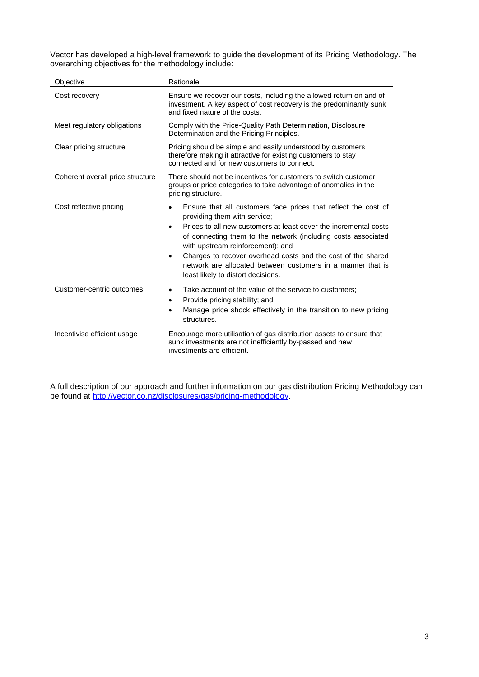Vector has developed a high-level framework to guide the development of its Pricing Methodology. The overarching objectives for the methodology include:

| Objective                        | Rationale                                                                                                                                                                                                                                                                                                                                                                                                                                                               |  |  |  |
|----------------------------------|-------------------------------------------------------------------------------------------------------------------------------------------------------------------------------------------------------------------------------------------------------------------------------------------------------------------------------------------------------------------------------------------------------------------------------------------------------------------------|--|--|--|
| Cost recovery                    | Ensure we recover our costs, including the allowed return on and of<br>investment. A key aspect of cost recovery is the predominantly sunk<br>and fixed nature of the costs.                                                                                                                                                                                                                                                                                            |  |  |  |
| Meet regulatory obligations      | Comply with the Price-Quality Path Determination, Disclosure<br>Determination and the Pricing Principles.                                                                                                                                                                                                                                                                                                                                                               |  |  |  |
| Clear pricing structure          | Pricing should be simple and easily understood by customers<br>therefore making it attractive for existing customers to stay<br>connected and for new customers to connect.                                                                                                                                                                                                                                                                                             |  |  |  |
| Coherent overall price structure | There should not be incentives for customers to switch customer<br>groups or price categories to take advantage of anomalies in the<br>pricing structure.                                                                                                                                                                                                                                                                                                               |  |  |  |
| Cost reflective pricing          | Ensure that all customers face prices that reflect the cost of<br>providing them with service;<br>Prices to all new customers at least cover the incremental costs<br>$\bullet$<br>of connecting them to the network (including costs associated<br>with upstream reinforcement); and<br>Charges to recover overhead costs and the cost of the shared<br>$\bullet$<br>network are allocated between customers in a manner that is<br>least likely to distort decisions. |  |  |  |
| Customer-centric outcomes        | Take account of the value of the service to customers;<br>$\bullet$<br>Provide pricing stability; and<br>$\bullet$<br>Manage price shock effectively in the transition to new pricing<br>$\bullet$<br>structures.                                                                                                                                                                                                                                                       |  |  |  |
| Incentivise efficient usage      | Encourage more utilisation of gas distribution assets to ensure that<br>sunk investments are not inefficiently by-passed and new<br>investments are efficient.                                                                                                                                                                                                                                                                                                          |  |  |  |

A full description of our approach and further information on our gas distribution Pricing Methodology can be found at [http://vector.co.nz/disclosures/gas/pricing-methodology.](http://vector.co.nz/disclosures/gas/pricing-methodology)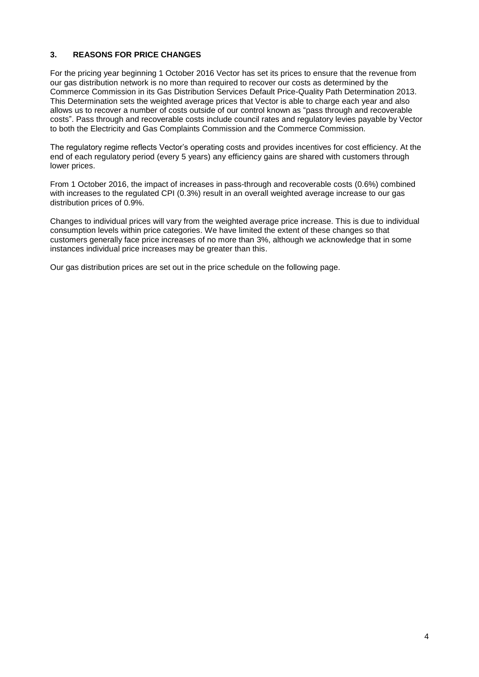## **3. REASONS FOR PRICE CHANGES**

For the pricing year beginning 1 October 2016 Vector has set its prices to ensure that the revenue from our gas distribution network is no more than required to recover our costs as determined by the Commerce Commission in its Gas Distribution Services Default Price-Quality Path Determination 2013. This Determination sets the weighted average prices that Vector is able to charge each year and also allows us to recover a number of costs outside of our control known as "pass through and recoverable costs". Pass through and recoverable costs include council rates and regulatory levies payable by Vector to both the Electricity and Gas Complaints Commission and the Commerce Commission.

The regulatory regime reflects Vector's operating costs and provides incentives for cost efficiency. At the end of each regulatory period (every 5 years) any efficiency gains are shared with customers through lower prices.

From 1 October 2016, the impact of increases in pass-through and recoverable costs (0.6%) combined with increases to the regulated CPI (0.3%) result in an overall weighted average increase to our gas distribution prices of 0.9%.

Changes to individual prices will vary from the weighted average price increase. This is due to individual consumption levels within price categories. We have limited the extent of these changes so that customers generally face price increases of no more than 3%, although we acknowledge that in some instances individual price increases may be greater than this.

Our gas distribution prices are set out in the price schedule on the following page.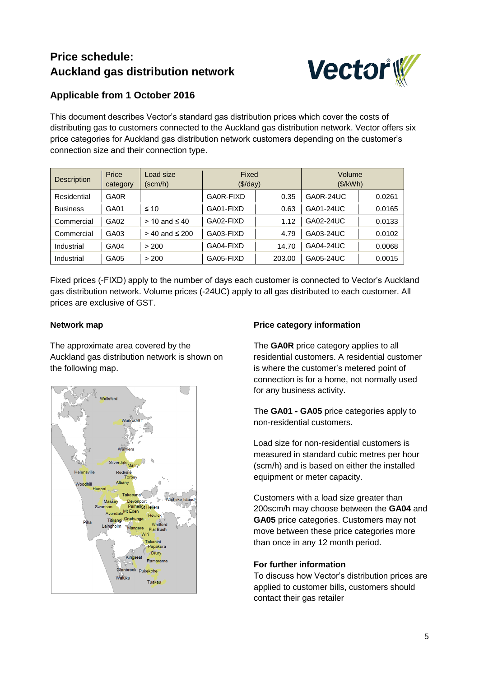# **Price schedule: Auckland gas distribution network**



# **Applicable from 1 October 2016**

This document describes Vector's standard gas distribution prices which cover the costs of distributing gas to customers connected to the Auckland gas distribution network. Vector offers six price categories for Auckland gas distribution network customers depending on the customer's connection size and their connection type.

| <b>Description</b> | Price<br>category | Load size<br>(scm/h) | Fixed<br>$(\frac{1}{2})day)$ |        | Volume<br>(\$/kWh) |        |
|--------------------|-------------------|----------------------|------------------------------|--------|--------------------|--------|
| Residential        | <b>GA0R</b>       |                      | GA0R-FIXD                    | 0.35   | GA0R-24UC          | 0.0261 |
| <b>Business</b>    | GA01              | $\leq 10$            | GA01-FIXD                    | 0.63   | GA01-24UC          | 0.0165 |
| Commercial         | GA02              | $> 10$ and $\leq 40$ | GA02-FIXD                    | 1.12   | GA02-24UC          | 0.0133 |
| Commercial         | GA03              | > 40 and ≤ 200       | GA03-FIXD                    | 4.79   | GA03-24UC          | 0.0102 |
| Industrial         | GA04              | > 200                | GA04-FIXD                    | 14.70  | GA04-24UC          | 0.0068 |
| Industrial         | GA05              | > 200                | GA05-FIXD                    | 203.00 | GA05-24UC          | 0.0015 |

Fixed prices (-FIXD) apply to the number of days each customer is connected to Vector's Auckland gas distribution network. Volume prices (-24UC) apply to all gas distributed to each customer. All prices are exclusive of GST.

# **Network map**

The approximate area covered by the Auckland gas distribution network is shown on the following map.



# **Price category information**

The **GA0R** price category applies to all residential customers. A residential customer is where the customer's metered point of connection is for a home, not normally used for any business activity.

The **GA01 - GA05** price categories apply to non-residential customers.

Load size for non-residential customers is measured in standard cubic metres per hour (scm/h) and is based on either the installed equipment or meter capacity.

Customers with a load size greater than 200scm/h may choose between the **GA04** and **GA05** price categories. Customers may not move between these price categories more than once in any 12 month period.

## **For further information**

To discuss how Vector's distribution prices are applied to customer bills, customers should contact their gas retailer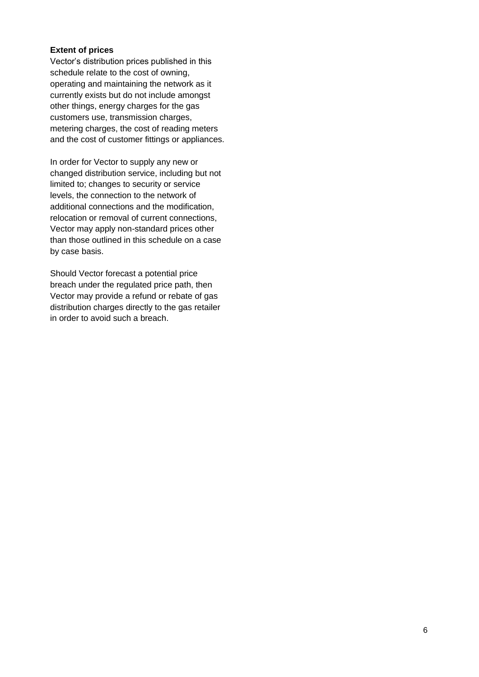## **Extent of prices**

Vector's distribution prices published in this schedule relate to the cost of owning, operating and maintaining the network as it currently exists but do not include amongst other things, energy charges for the gas customers use, transmission charges, metering charges, the cost of reading meters and the cost of customer fittings or appliances.

In order for Vector to supply any new or changed distribution service, including but not limited to; changes to security or service levels, the connection to the network of additional connections and the modification, relocation or removal of current connections, Vector may apply non-standard prices other than those outlined in this schedule on a case by case basis.

Should Vector forecast a potential price breach under the regulated price path, then Vector may provide a refund or rebate of gas distribution charges directly to the gas retailer in order to avoid such a breach.